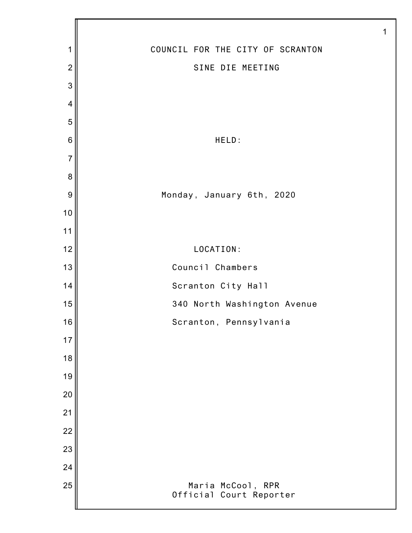| $\mathbf 1$    | COUNCIL FOR THE CITY OF SCRANTON             |
|----------------|----------------------------------------------|
| $\overline{c}$ | SINE DIE MEETING                             |
| 3              |                                              |
| $\overline{4}$ |                                              |
| 5              |                                              |
| $\,$ 6 $\,$    | HELD:                                        |
| $\overline{7}$ |                                              |
| 8              |                                              |
| $\overline{9}$ | Monday, January 6th, 2020                    |
| 10             |                                              |
| 11             |                                              |
| 12             | LOCATION:                                    |
| 13             | Council Chambers                             |
| 14             | Scranton City Hall                           |
| 15             | 340 North Washington Avenue                  |
| 16             | Scranton, Pennsylvania                       |
| 17             |                                              |
| 18             |                                              |
| 19             |                                              |
| 20             |                                              |
| 21             |                                              |
| 22             |                                              |
| 23             |                                              |
| 24             |                                              |
| 25             | Maria McCool, RPR<br>Official Court Reporter |
|                |                                              |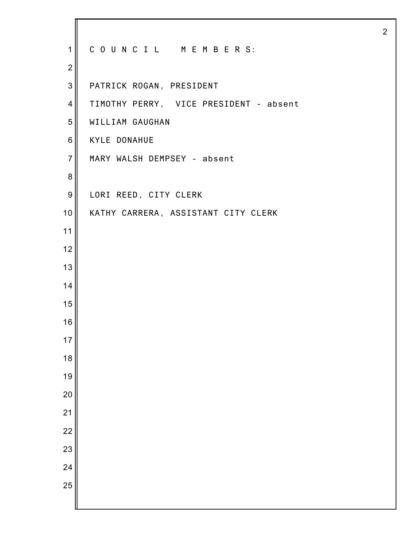| $\mathbf{1}$     | COUNCIL MEMBERS:                       |
|------------------|----------------------------------------|
| $\overline{2}$   |                                        |
| $\mathbf{3}$     | PATRICK ROGAN, PRESIDENT               |
| $\overline{4}$   | TIMOTHY PERRY, VICE PRESIDENT - absent |
| 5                | WILLIAM GAUGHAN                        |
| $6\phantom{1}6$  | <b>KYLE DONAHUE</b>                    |
| $\overline{7}$   | MARY WALSH DEMPSEY - absent            |
| 8                |                                        |
| $\boldsymbol{9}$ | LORI REED, CITY CLERK                  |
| 10               | KATHY CARRERA, ASSISTANT CITY CLERK    |
| 11               |                                        |
| 12               |                                        |
| 13               |                                        |
| 14               |                                        |
| 15               |                                        |
| 16               |                                        |
| 17               |                                        |
| 18               |                                        |
| 19               |                                        |
| 20               |                                        |
| 21               |                                        |
| $\overline{22}$  |                                        |
| 23               |                                        |
| 24               |                                        |
| 25               |                                        |
|                  |                                        |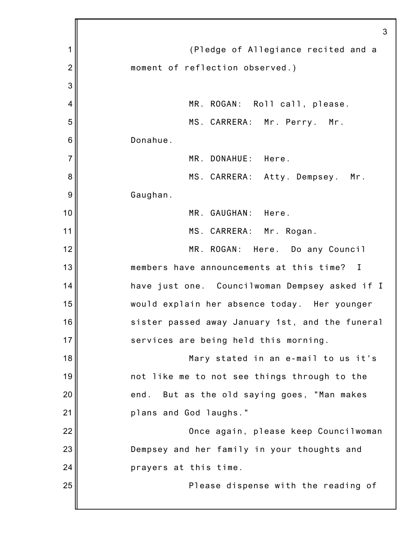|                | 3                                               |
|----------------|-------------------------------------------------|
| 1              | (Pledge of Allegiance recited and a             |
| $\overline{2}$ | moment of reflection observed.)                 |
| 3              |                                                 |
| 4              | MR. ROGAN: Roll call, please.                   |
| 5              | MS. CARRERA: Mr. Perry.<br>Mr.                  |
| 6              | Donahue.                                        |
| 7              | MR. DONAHUE: Here.                              |
| 8              | MS. CARRERA: Atty. Dempsey. Mr.                 |
| 9              | Gaughan.                                        |
| 10             | MR. GAUGHAN: Here.                              |
| 11             | MS. CARRERA: Mr. Rogan.                         |
| 12             | MR. ROGAN: Here. Do any Council                 |
| 13             | members have announcements at this time? I      |
| 14             | have just one. Councilwoman Dempsey asked if I  |
| 15             | would explain her absence today. Her younger    |
| 16             | sister passed away January 1st, and the funeral |
| 17             | services are being held this morning.           |
| 18             | Mary stated in an e-mail to us it's             |
| 19             | not like me to not see things through to the    |
| 20             | But as the old saying goes, "Man makes<br>end.  |
| 21             | plans and God laughs."                          |
| 22             | Once again, please keep Councilwoman            |
| 23             | Dempsey and her family in your thoughts and     |
| 24             | prayers at this time.                           |
| 25             | Please dispense with the reading of             |
|                |                                                 |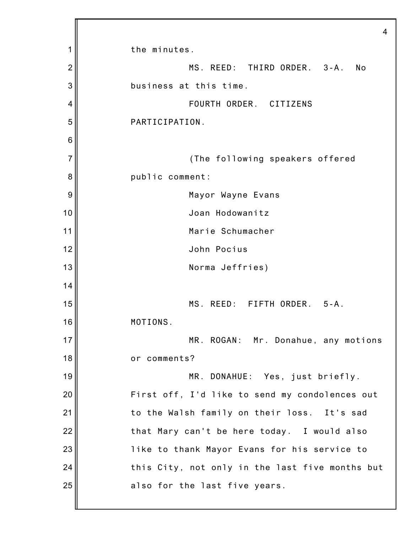|                | 4                                               |
|----------------|-------------------------------------------------|
| 1              | the minutes.                                    |
| $\overline{2}$ | MS. REED: THIRD ORDER. 3-A.<br>No               |
| 3              | business at this time.                          |
| 4              | FOURTH ORDER. CITIZENS                          |
| 5              | PARTICIPATION.                                  |
| 6              |                                                 |
| $\overline{7}$ | (The following speakers offered                 |
| 8              | public comment:                                 |
| 9              | Mayor Wayne Evans                               |
| 10             | Joan Hodowanitz                                 |
| 11             | Marie Schumacher                                |
| 12             | John Pocius                                     |
| 13             | Norma Jeffries)                                 |
| 14             |                                                 |
| 15             | MS. REED: FIFTH ORDER.<br>$5 - A$ .             |
| 16             | MOTIONS.                                        |
| 17             | MR. ROGAN: Mr. Donahue, any motions             |
| 18             | or comments?                                    |
| 19             | MR. DONAHUE: Yes, just briefly.                 |
| 20             | First off, I'd like to send my condolences out  |
| 21             | to the Walsh family on their loss. It's sad     |
| 22             | that Mary can't be here today. I would also     |
| 23             | like to thank Mayor Evans for his service to    |
| 24             | this City, not only in the last five months but |
| 25             | also for the last five years.                   |
|                |                                                 |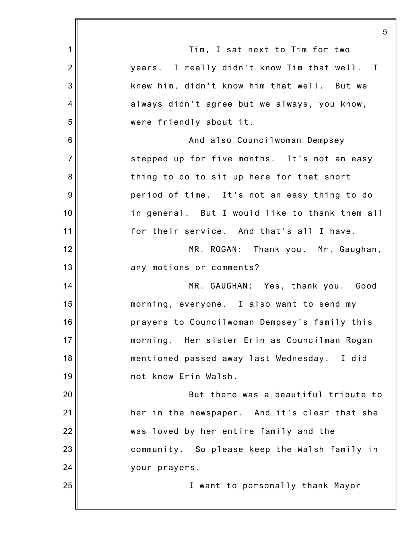|                 | 5                                              |
|-----------------|------------------------------------------------|
| 1               | Tim, I sat next to Tim for two                 |
| $\overline{2}$  | years. I really didn't know Tim that well. I   |
| 3               | knew him, didn't know him that well. But we    |
| 4               | always didn't agree but we always, you know,   |
| 5               | were friendly about it.                        |
| $6\phantom{1}6$ | And also Councilwoman Dempsey                  |
| $\overline{7}$  | stepped up for five months. It's not an easy   |
| 8               | thing to do to sit up here for that short      |
| 9               | period of time. It's not an easy thing to do   |
| 10              | in general. But I would like to thank them all |
| 11              | for their service. And that's all I have.      |
| 12              | MR. ROGAN: Thank you. Mr. Gaughan,             |
| 13              | any motions or comments?                       |
| 14              | MR. GAUGHAN: Yes, thank you. Good              |
| 15              | morning, everyone. I also want to send my      |
| 16              | prayers to Councilwoman Dempsey's family this  |
| 17              | morning. Her sister Erin as Councilman Rogan   |
| 18              | mentioned passed away last Wednesday. I did    |
| 19              | not know Erin Walsh.                           |
| 20              | But there was a beautiful tribute to           |
| 21              | her in the newspaper. And it's clear that she  |
| 22              | was loved by her entire family and the         |
| 23              | community. So please keep the Walsh family in  |
| 24              | your prayers.                                  |
| 25              | I want to personally thank Mayor               |
|                 |                                                |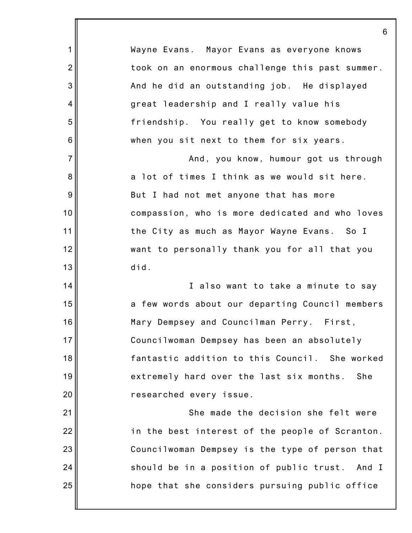|                | 6                                               |
|----------------|-------------------------------------------------|
| 1              | Wayne Evans. Mayor Evans as everyone knows      |
| $\overline{2}$ | took on an enormous challenge this past summer. |
| 3              | And he did an outstanding job. He displayed     |
| 4              | great leadership and I really value his         |
| 5              | friendship. You really get to know somebody     |
| 6              | when you sit next to them for six years.        |
| $\overline{7}$ | And, you know, humour got us through            |
| 8              | a lot of times I think as we would sit here.    |
| $9\,$          | But I had not met anyone that has more          |
| 10             | compassion, who is more dedicated and who loves |
| 11             | the City as much as Mayor Wayne Evans. So I     |
| 12             | want to personally thank you for all that you   |
| 13             | did.                                            |
| 14             | I also want to take a minute to say             |
| 15             | a few words about our departing Council members |
| 16             | Mary Dempsey and Councilman Perry. First,       |
| 17             | Councilwoman Dempsey has been an absolutely     |
| 18             | fantastic addition to this Council. She worked  |
| 19             | extremely hard over the last six months.<br>She |
| 20             | researched every issue.                         |
| 21             | She made the decision she felt were             |
| 22             | in the best interest of the people of Scranton. |
| 23             | Councilwoman Dempsey is the type of person that |
| 24             | should be in a position of public trust. And I  |
| 25             | hope that she considers pursuing public office  |
|                |                                                 |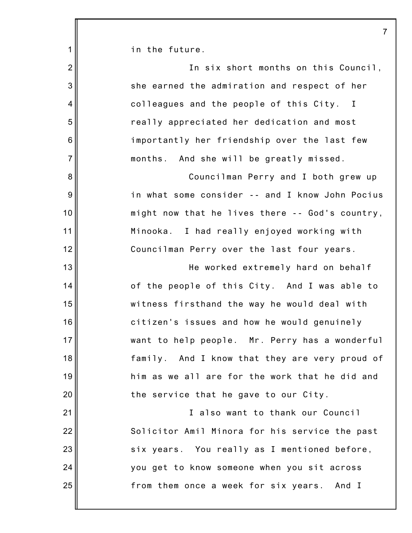| 1              | in the future.                                  |
|----------------|-------------------------------------------------|
| $\overline{2}$ | In six short months on this Council,            |
| 3              | she earned the admiration and respect of her    |
| $\overline{4}$ | colleagues and the people of this City. I       |
| 5              | really appreciated her dedication and most      |
| $\,6$          | importantly her friendship over the last few    |
| $\overline{7}$ | months. And she will be greatly missed.         |
| 8              | Councilman Perry and I both grew up             |
| 9              | in what some consider -- and I know John Pocius |
| 10             | might now that he lives there -- God's country, |
| 11             | Minooka. I had really enjoyed working with      |
| 12             | Councilman Perry over the last four years.      |
| 13             | He worked extremely hard on behalf              |
| 14             | of the people of this City. And I was able to   |
| 15             | witness firsthand the way he would deal with    |
| 16             | citizen's issues and how he would genuinely     |
| 17             | want to help people. Mr. Perry has a wonderful  |
| 18             | family. And I know that they are very proud of  |
| 19             | him as we all are for the work that he did and  |
| 20             | the service that he gave to our City.           |
| 21             | I also want to thank our Council                |
| 22             | Solicitor Amil Minora for his service the past  |
| 23             | six years. You really as I mentioned before,    |
| 24             | you get to know someone when you sit across     |
| 25             | from them once a week for six years. And I      |
|                |                                                 |

7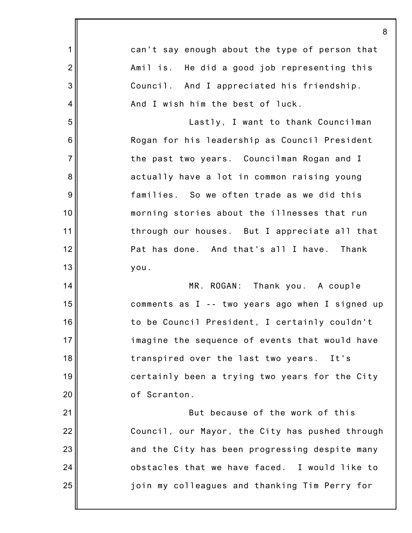|                  | 8                                               |
|------------------|-------------------------------------------------|
| 1                | can't say enough about the type of person that  |
| $\overline{2}$   | Amil is. He did a good job representing this    |
| 3                | Council. And I appreciated his friendship.      |
| 4                | And I wish him the best of luck.                |
| 5                | Lastly, I want to thank Councilman              |
| $6\phantom{1}6$  | Rogan for his leadership as Council President   |
| $\overline{7}$   | the past two years. Councilman Rogan and I      |
| 8                | actually have a lot in common raising young     |
| $\boldsymbol{9}$ | families. So we often trade as we did this      |
| 10               | morning stories about the illnesses that run    |
| 11               | through our houses. But I appreciate all that   |
| 12               | Pat has done. And that's all I have. Thank      |
| 13               | you.                                            |
| 14               | MR. ROGAN: Thank you. A couple                  |
| 15               | comments as I -- two years ago when I signed up |
| 16               | to be Council President, I certainly couldn't   |
| 17               | imagine the sequence of events that would have  |
| 18               | transpired over the last two years. It's        |
| 19               | certainly been a trying two years for the City  |
| 20               | of Scranton.                                    |
| 21               | But because of the work of this                 |
| 22               | Council, our Mayor, the City has pushed through |
| 23               | and the City has been progressing despite many  |
| 24               | obstacles that we have faced. I would like to   |
| 25               | join my colleagues and thanking Tim Perry for   |
|                  |                                                 |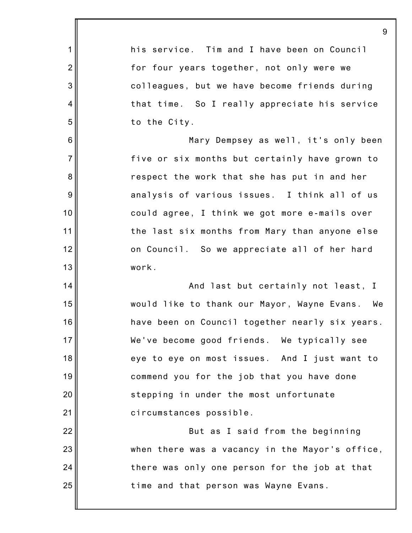|                | 9                                               |
|----------------|-------------------------------------------------|
| $\mathbf 1$    | his service. Tim and I have been on Council     |
| $\overline{2}$ | for four years together, not only were we       |
| 3              | colleagues, but we have become friends during   |
| 4              | that time. So I really appreciate his service   |
| 5              | to the City.                                    |
| $6\,$          | Mary Dempsey as well, it's only been            |
| $\overline{7}$ | five or six months but certainly have grown to  |
| 8              | respect the work that she has put in and her    |
| $9\,$          | analysis of various issues. I think all of us   |
| 10             | could agree, I think we got more e-mails over   |
| 11             | the last six months from Mary than anyone else  |
| 12             | on Council. So we appreciate all of her hard    |
| 13             | work.                                           |
| 14             | And last but certainly not least, I             |
| 15             | would like to thank our Mayor, Wayne Evans. We  |
| 16             | have been on Council together nearly six years. |
| 17             | We've become good friends. We typically see     |
| 18             | eye to eye on most issues. And I just want to   |
| 19             | commend you for the job that you have done      |
| 20             | stepping in under the most unfortunate          |
| 21             | circumstances possible.                         |
| 22             | But as I said from the beginning                |
| 23             | when there was a vacancy in the Mayor's office, |
| 24             | there was only one person for the job at that   |
| 25             | time and that person was Wayne Evans.           |
|                |                                                 |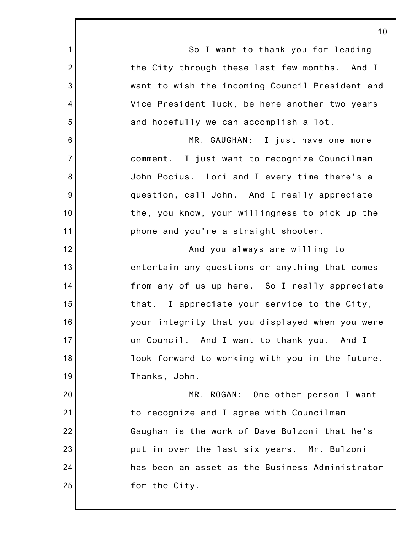1 2 3 4 5 6 7 8 9 10 11 12 13 14 15 16 17 18 19 20 21 22 23 24 25 So I want to thank you for leading the City through these last few months. And I want to wish the incoming Council President and Vice President luck, be here another two years and hopefully we can accomplish a lot. MR. GAUGHAN: I just have one more comment. I just want to recognize Councilman John Pocius. Lori and I every time there's a question, call John. And I really appreciate the, you know, your willingness to pick up the phone and you're a straight shooter. And you always are willing to entertain any questions or anything that comes from any of us up here. So I really appreciate that. I appreciate your service to the City, your integrity that you displayed when you were on Council. And I want to thank you. And I look forward to working with you in the future. Thanks, John. MR. ROGAN: One other person I want to recognize and I agree with Councilman Gaughan is the work of Dave Bulzoni that he's put in over the last six years. Mr. Bulzoni has been an asset as the Business Administrator for the City.

10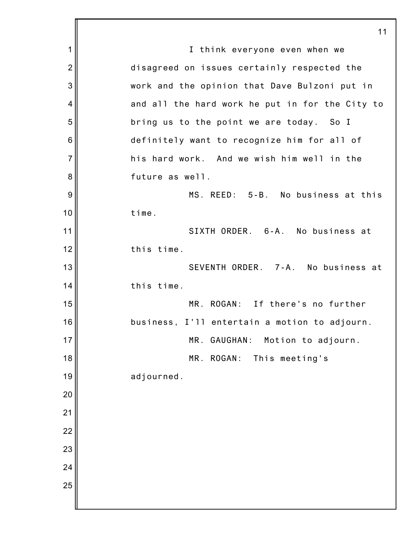1 2 3 4 5 6 7 8 9 10 11 12 13 14 15 16 17 18 19 20 21 22 23 24 25 11 I think everyone even when we disagreed on issues certainly respected the work and the opinion that Dave Bulzoni put in and all the hard work he put in for the City to bring us to the point we are today. So I definitely want to recognize him for all of his hard work. And we wish him well in the future as well. MS. REED: 5-B. No business at this time. SIXTH ORDER. 6-A. No business at this time. SEVENTH ORDER. 7-A. No business at this time. MR. ROGAN: If there's no further business, I'll entertain a motion to adjourn. MR. GAUGHAN: Motion to adjourn. MR. ROGAN: This meeting's adjourned.